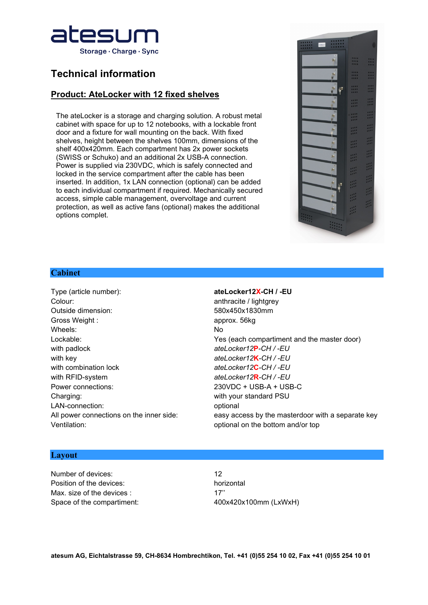

# **Technical information**

## **Product: AteLocker with 12 fixed shelves**

The ateLocker is a storage and charging solution. A robust metal cabinet with space for up to 12 notebooks, with a lockable front door and a fixture for wall mounting on the back. With fixed shelves, height between the shelves 100mm, dimensions of the shelf 400x420mm. Each compartment has 2x power sockets (SWISS or Schuko) and an additional 2x USB-A connection. Power is supplied via 230VDC, which is safely connected and locked in the service compartment after the cable has been inserted. In addition, 1x LAN connection (optional) can be added to each individual compartment if required. Mechanically secured access, simple cable management, overvoltage and current protection, as well as active fans (optional) makes the additional options complet.



### **Cabinet**

Type (article number): **ateLocker12X-CH / -EU** Colour: Colour: anthracite / lightgrey Outside dimension: 580x450x1830mm Gross Weight : approx. 56kg Wheels: No. 2006. No. 2006. No. 2006. No. 2006. No. 2006. No. 2006. No. 2006. No. 2006. No. 2007. No. 2007. No. 2007. No. 2007. No. 2007. No. 2007. No. 2007. No. 2007. No. 2007. No. 2007. No. 2007. No. 2007. No. 2007. No. with padlock *ateLocker12***P***-CH / -EU* with key *ateLocker12***K***-CH / -EU*  with combination lock *ateLocker12***C***-CH / -EU* with RFID-system *ateLocker12***R***-CH / -EU* Power connections: 230VDC + USB-A + USB-C Charging: with your standard PSU LAN-connection: consider the connection optional Ventilation:  $\blacksquare$ 

Lockable: Yes (each compartiment and the master door) All power connections on the inner side: easy access by the masterdoor with a separate key

### **Layout**

Number of devices: 12 Position of the devices: horizontal Max. size of the devices : 17" Space of the compartiment: 400x420x100mm (LxWxH)